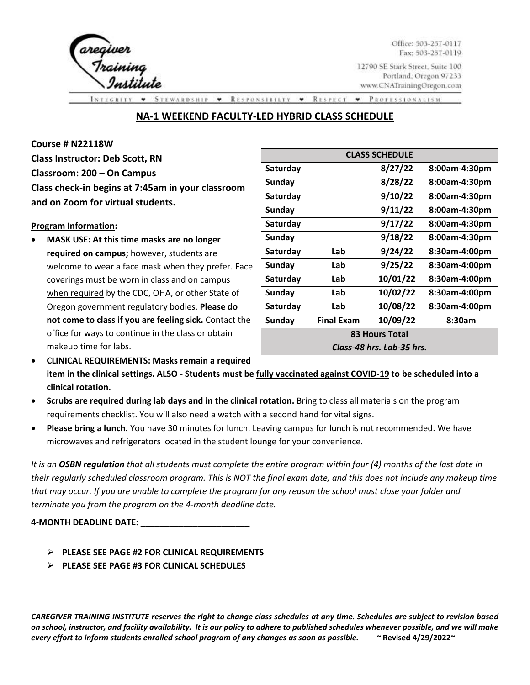

Office: 503-257-0117 Fax: 503-257-0119

12790 SE Stark Street, Suite 100 Portland, Oregon 97233 www.CNATrainingOregon.com

**RESPONSIBILTY** RESPECT  $\check{\phantom{a}}$  $\cdot$  $\blacktriangledown$ PROFESSIONALISM

## **NA-1 WEEKEND FACULTY-LED HYBRID CLASS SCHEDULE**

**Course # N22118W** 

**Class Instructor: Deb Scott, RN Classroom: 200 – On Campus Class check-in begins at 7:45am in your classroom and on Zoom for virtual students.** 

#### **Program Information:**

• **MASK USE: At this time masks are no longer required on campus;** however, students are welcome to wear a face mask when they prefer. Face coverings must be worn in class and on campus when required by the CDC, OHA, or other State of Oregon government regulatory bodies. **Please do not come to class if you are feeling sick.** Contact the office for ways to continue in the class or obtain makeup time for labs.

| <b>CLASS SCHEDULE</b>     |                   |          |               |  |  |
|---------------------------|-------------------|----------|---------------|--|--|
| Saturday                  |                   | 8/27/22  | 8:00am-4:30pm |  |  |
| <b>Sunday</b>             |                   | 8/28/22  | 8:00am-4:30pm |  |  |
| Saturday                  |                   | 9/10/22  | 8:00am-4:30pm |  |  |
| <b>Sunday</b>             |                   | 9/11/22  | 8:00am-4:30pm |  |  |
| Saturday                  |                   | 9/17/22  | 8:00am-4:30pm |  |  |
| <b>Sunday</b>             |                   | 9/18/22  | 8:00am-4:30pm |  |  |
| Saturday                  | Lab               | 9/24/22  | 8:30am-4:00pm |  |  |
| <b>Sunday</b>             | Lab               | 9/25/22  | 8:30am-4:00pm |  |  |
| Saturday                  | Lab               | 10/01/22 | 8:30am-4:00pm |  |  |
| Sunday                    | Lab               | 10/02/22 | 8:30am-4:00pm |  |  |
| Saturday                  | Lab               | 10/08/22 | 8:30am-4:00pm |  |  |
| Sunday                    | <b>Final Exam</b> | 10/09/22 | 8:30am        |  |  |
| <b>83 Hours Total</b>     |                   |          |               |  |  |
| Class-48 hrs. Lab-35 hrs. |                   |          |               |  |  |

• **CLINICAL REQUIREMENTS: Masks remain a required item in the clinical settings. ALSO - Students must be fully vaccinated against COVID-19 to be scheduled into a clinical rotation.**

• **Scrubs are required during lab days and in the clinical rotation.** Bring to class all materials on the program requirements checklist. You will also need a watch with a second hand for vital signs.

• **Please bring a lunch.** You have 30 minutes for lunch. Leaving campus for lunch is not recommended. We have microwaves and refrigerators located in the student lounge for your convenience.

*It is an OSBN regulation that all students must complete the entire program within four (4) months of the last date in their regularly scheduled classroom program. This is NOT the final exam date, and this does not include any makeup time that may occur. If you are unable to complete the program for any reason the school must close your folder and terminate you from the program on the 4-month deadline date.* 

**4-MONTH DEADLINE DATE: \_\_\_\_\_\_\_\_\_\_\_\_\_\_\_\_\_\_\_\_\_\_\_**

- ➢ **PLEASE SEE PAGE #2 FOR CLINICAL REQUIREMENTS**
- ➢ **PLEASE SEE PAGE #3 FOR CLINICAL SCHEDULES**

*CAREGIVER TRAINING INSTITUTE reserves the right to change class schedules at any time. Schedules are subject to revision based on school, instructor, and facility availability. It is our policy to adhere to published schedules whenever possible, and we will make every effort to inform students enrolled school program of any changes as soon as possible. ~* **Revised 4/29/2022~**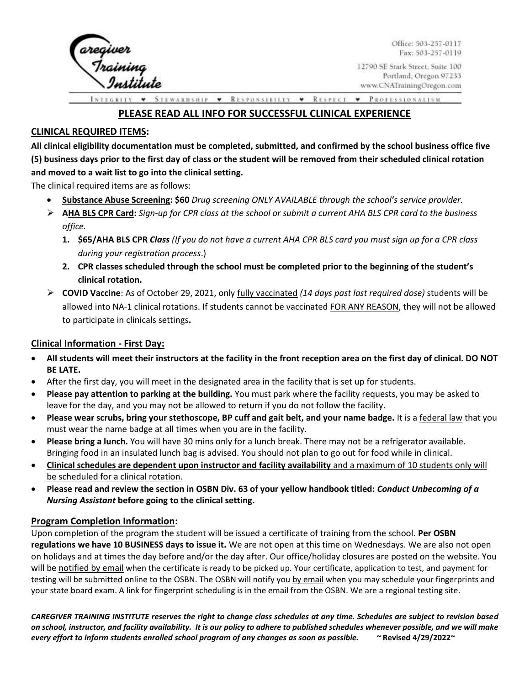

Office: 503-257-0117 Fax: 503-257-0119

**STEWARDSHIP** RESPONSIBILTY • RESPECT • PROFESSIONALISM  $\pmb{\mathrm{v}}$ 

# **PLEASE READ ALL INFO FOR SUCCESSFUL CLINICAL EXPERIENCE**

## **CLINICAL REQUIRED ITEMS:**

**All clinical eligibility documentation must be completed, submitted, and confirmed by the school business office five (5) business days prior to the first day of class or the student will be removed from their scheduled clinical rotation and moved to a wait list to go into the clinical setting.** 

The clinical required items are as follows:

- **Substance Abuse Screening: \$60** *Drug screening ONLY AVAILABLE through the school's service provider.*
- ➢ **AHA BLS CPR Card:** *Sign-up for CPR class at the school or submit a current AHA BLS CPR card to the business office.* 
	- **1. \$65/AHA BLS CPR** *Class (If you do not have a current AHA CPR BLS card you must sign up for a CPR class during your registration process*.)
	- **2. CPR classes scheduled through the school must be completed prior to the beginning of the student's clinical rotation.**
- ➢ **COVID Vaccine**: As of October 29, 2021, only fully vaccinated *(14 days past last required dose)* students will be allowed into NA-1 clinical rotations. If students cannot be vaccinated FOR ANY REASON, they will not be allowed to participate in clinicals settings**.**

### **Clinical Information - First Day:**

- **All students will meet their instructors at the facility in the front reception area on the first day of clinical. DO NOT BE LATE.**
- After the first day, you will meet in the designated area in the facility that is set up for students.
- **Please pay attention to parking at the building.** You must park where the facility requests, you may be asked to leave for the day, and you may not be allowed to return if you do not follow the facility.
- **Please wear scrubs, bring your stethoscope, BP cuff and gait belt, and your name badge.** It is a federal law that you must wear the name badge at all times when you are in the facility.
- **Please bring a lunch.** You will have 30 mins only for a lunch break. There may not be a refrigerator available. Bringing food in an insulated lunch bag is advised. You should not plan to go out for food while in clinical.
- **Clinical schedules are dependent upon instructor and facility availability** and a maximum of 10 students only will be scheduled for a clinical rotation.
- **Please read and review the section in OSBN Div. 63 of your yellow handbook titled:** *Conduct Unbecoming of a Nursing Assistant* **before going to the clinical setting.**

#### **Program Completion Information:**

Upon completion of the program the student will be issued a certificate of training from the school. **Per OSBN regulations we have 10 BUSINESS days to issue it.** We are not open at this time on Wednesdays. We are also not open on holidays and at times the day before and/or the day after. Our office/holiday closures are posted on the website. You will be notified by email when the certificate is ready to be picked up. Your certificate, application to test, and payment for testing will be submitted online to the OSBN. The OSBN will notify you by email when you may schedule your fingerprints and your state board exam. A link for fingerprint scheduling is in the email from the OSBN. We are a regional testing site.

*CAREGIVER TRAINING INSTITUTE reserves the right to change class schedules at any time. Schedules are subject to revision based on school, instructor, and facility availability. It is our policy to adhere to published schedules whenever possible, and we will make every effort to inform students enrolled school program of any changes as soon as possible. ~* **Revised 4/29/2022~**